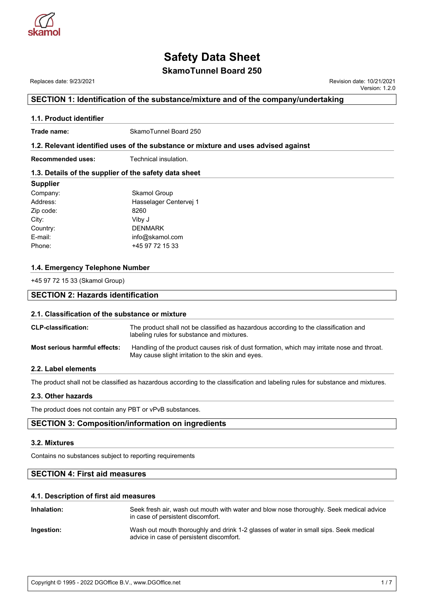

## **SkamoTunnel Board 250**

Replaces date: 9/23/2021 **Replaces** date: 9/23/2021

Version: 1.2.0

### **SECTION 1: Identification of the substance/mixture and of the company/undertaking**

## **1.1. Product identifier Trade name:** SkamoTunnel Board 250 **1.2. Relevant identified uses of the substance or mixture and uses advised against Recommended uses:** Technical insulation. **1.3. Details of the supplier of the safety data sheet Supplier** Company: Skamol Group Address: Hasselager Centervej 1 Zip code: 8260 City: Viby J Country: DENMARK E-mail: info@skamol.com Phone: +45 97 72 15 33 **1.4. Emergency Telephone Number** +45 97 72 15 33 (Skamol Group) **SECTION 2: Hazards identification 2.1. Classification of the substance or mixture CLP-classification:** The product shall not be classified as hazardous according to the classification and labeling rules for substance and mixtures. **Most serious harmful effects:** Handling of the product causes risk of dust formation, which may irritate nose and throat. May cause slight irritation to the skin and eyes. **2.2. Label elements** The product shall not be classified as hazardous according to the classification and labeling rules for substance and mixtures.

**2.3. Other hazards**

The product does not contain any PBT or vPvB substances.

#### **SECTION 3: Composition/information on ingredients**

#### **3.2. Mixtures**

Contains no substances subject to reporting requirements

## **SECTION 4: First aid measures**

#### **4.1. Description of first aid measures**

| Inhalation: | Seek fresh air, wash out mouth with water and blow nose thoroughly. Seek medical advice<br>in case of persistent discomfort.     |
|-------------|----------------------------------------------------------------------------------------------------------------------------------|
| Ingestion:  | Wash out mouth thoroughly and drink 1-2 glasses of water in small sips. Seek medical<br>advice in case of persistent discomfort. |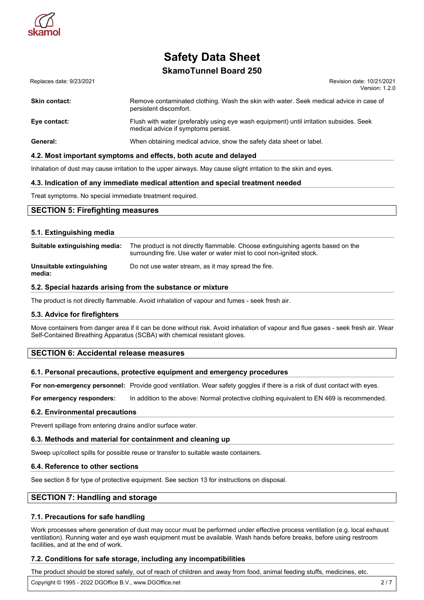

## **SkamoTunnel Board 250**

Replaces date: 9/23/2021 **Replaces** date: 9/23/2021 Version: 1.2.0

| <b>Skin contact:</b> | Remove contaminated clothing. Wash the skin with water. Seek medical advice in case of<br>persistent discomfort.              |
|----------------------|-------------------------------------------------------------------------------------------------------------------------------|
| Eye contact:         | Flush with water (preferably using eye wash equipment) until irritation subsides. Seek<br>medical advice if symptoms persist. |
| General:             | When obtaining medical advice, show the safety data sheet or label.                                                           |

#### **4.2. Most important symptoms and effects, both acute and delayed**

Inhalation of dust may cause irritation to the upper airways. May cause slight irritation to the skin and eyes.

#### **4.3. Indication of any immediate medical attention and special treatment needed**

Treat symptoms. No special immediate treatment required.

#### **SECTION 5: Firefighting measures**

#### **5.1. Extinguishing media**

| Suitable extinguishing media:      | The product is not directly flammable. Choose extinguishing agents based on the<br>surrounding fire. Use water or water mist to cool non-ignited stock. |
|------------------------------------|---------------------------------------------------------------------------------------------------------------------------------------------------------|
| Unsuitable extinguishing<br>media: | Do not use water stream, as it may spread the fire.                                                                                                     |

#### **5.2. Special hazards arising from the substance or mixture**

The product is not directly flammable. Avoid inhalation of vapour and fumes - seek fresh air.

#### **5.3. Advice for firefighters**

Move containers from danger area if it can be done without risk. Avoid inhalation of vapour and flue gases - seek fresh air. Wear Self-Contained Breathing Apparatus (SCBA) with chemical resistant gloves.

#### **SECTION 6: Accidental release measures**

#### **6.1. Personal precautions, protective equipment and emergency procedures**

**For non-emergency personnel:** Provide good ventilation. Wear safety goggles if there is a risk of dust contact with eyes.

**For emergency responders:** In addition to the above: Normal protective clothing equivalent to EN 469 is recommended.

#### **6.2. Environmental precautions**

Prevent spillage from entering drains and/or surface water.

#### **6.3. Methods and material for containment and cleaning up**

Sweep up/collect spills for possible reuse or transfer to suitable waste containers.

#### **6.4. Reference to other sections**

See section 8 for type of protective equipment. See section 13 for instructions on disposal.

#### **SECTION 7: Handling and storage**

#### **7.1. Precautions for safe handling**

Work processes where generation of dust may occur must be performed under effective process ventilation (e.g. local exhaust ventilation). Running water and eye wash equipment must be available. Wash hands before breaks, before using restroom facilities, and at the end of work.

#### **7.2. Conditions for safe storage, including any incompatibilities**

The product should be stored safely, out of reach of children and away from food, animal feeding stuffs, medicines, etc.

Copyright © 1995 - 2022 DGOffice B.V., www.DGOffice.net 2 / 7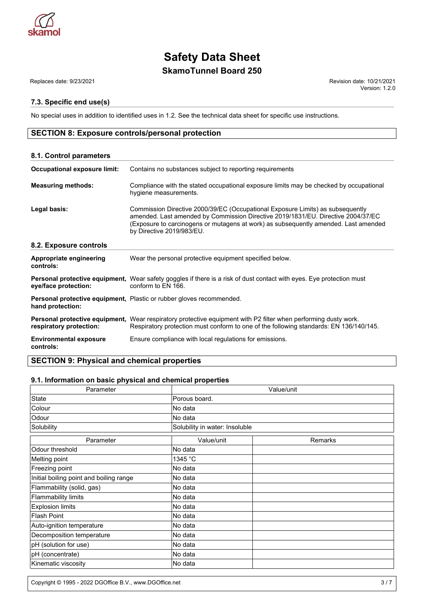

## **SkamoTunnel Board 250**

Replaces date: 9/23/2021 Revision date: 10/21/2021

#### **7.3. Specific end use(s)**

No special uses in addition to identified uses in 1.2. See the technical data sheet for specific use instructions.

## **SECTION 8: Exposure controls/personal protection**

| 8.1. Control parameters                    |                                                                                                                                                                                                                                                                                        |
|--------------------------------------------|----------------------------------------------------------------------------------------------------------------------------------------------------------------------------------------------------------------------------------------------------------------------------------------|
| <b>Occupational exposure limit:</b>        | Contains no substances subject to reporting requirements                                                                                                                                                                                                                               |
| <b>Measuring methods:</b>                  | Compliance with the stated occupational exposure limits may be checked by occupational<br>hygiene measurements.                                                                                                                                                                        |
| Legal basis:                               | Commission Directive 2000/39/EC (Occupational Exposure Limits) as subsequently<br>amended. Last amended by Commission Directive 2019/1831/EU. Directive 2004/37/EC<br>(Exposure to carcinogens or mutagens at work) as subsequently amended. Last amended<br>by Directive 2019/983/EU. |
| 8.2. Exposure controls                     |                                                                                                                                                                                                                                                                                        |
| Appropriate engineering<br>controls:       | Wear the personal protective equipment specified below.                                                                                                                                                                                                                                |
| eye/face protection:                       | Personal protective equipment, Wear safety goggles if there is a risk of dust contact with eyes. Eye protection must<br>conform to EN 166.                                                                                                                                             |
| hand protection:                           | Personal protective equipment, Plastic or rubber gloves recommended.                                                                                                                                                                                                                   |
| respiratory protection:                    | Personal protective equipment, Wear respiratory protective equipment with P2 filter when performing dusty work.<br>Respiratory protection must conform to one of the following standards: EN 136/140/145.                                                                              |
| <b>Environmental exposure</b><br>controls: | Ensure compliance with local regulations for emissions.                                                                                                                                                                                                                                |

## **SECTION 9: Physical and chemical properties**

#### **9.1. Information on basic physical and chemical properties**

| Parameter                               | Value/unit                     |         |  |
|-----------------------------------------|--------------------------------|---------|--|
| State                                   | Porous board.                  |         |  |
| Colour                                  | No data                        |         |  |
| Odour                                   | No data                        |         |  |
| Solubility                              | Solubility in water: Insoluble |         |  |
| Parameter                               | Value/unit                     | Remarks |  |
| Odour threshold                         | No data                        |         |  |
| Melting point                           | 1345 °C                        |         |  |
| Freezing point                          | No data                        |         |  |
| Initial boiling point and boiling range | No data                        |         |  |
| Flammability (solid, gas)               | No data                        |         |  |
| Flammability limits                     | No data                        |         |  |
| <b>Explosion limits</b>                 | No data                        |         |  |
| <b>Flash Point</b>                      | No data                        |         |  |
| Auto-ignition temperature               | No data                        |         |  |
| Decomposition temperature               | No data                        |         |  |
| pH (solution for use)                   | No data                        |         |  |
| pH (concentrate)                        | No data                        |         |  |
| Kinematic viscosity                     | No data                        |         |  |

Version: 1.2.0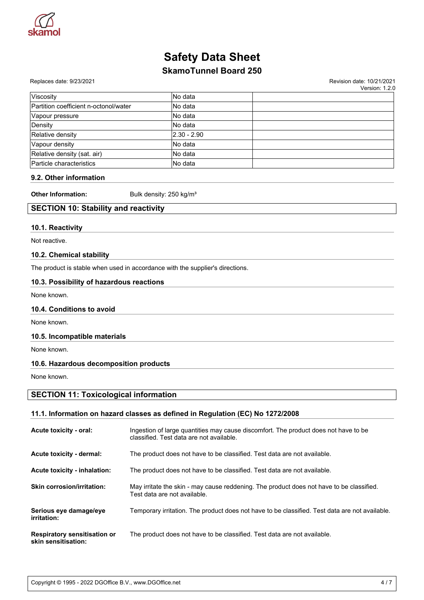

## **SkamoTunnel Board 250**

#### Replaces date: 9/23/2021 **Replaces** date: 10/21/2021

Version: 1.2.0

| <b>Viscosity</b>                      | No data         |  |
|---------------------------------------|-----------------|--|
| Partition coefficient n-octonol/water | lNo data        |  |
| Vapour pressure                       | lNo data        |  |
| Density                               | No data         |  |
| Relative density                      | $ 2.30 - 2.90 $ |  |
| Vapour density                        | No data         |  |
| Relative density (sat. air)           | No data         |  |
| Particle characteristics              | No data         |  |

#### **9.2. Other information**

**Other Information:** Bulk density: 250 kg/m<sup>3</sup>

## **SECTION 10: Stability and reactivity**

#### **10.1. Reactivity**

Not reactive.

#### **10.2. Chemical stability**

The product is stable when used in accordance with the supplier's directions.

#### **10.3. Possibility of hazardous reactions**

None known.

#### **10.4. Conditions to avoid**

None known.

#### **10.5. Incompatible materials**

None known.

#### **10.6. Hazardous decomposition products**

None known.

#### **SECTION 11: Toxicological information**

### **11.1. Information on hazard classes as defined in Regulation (EC) No 1272/2008**

| Acute toxicity - oral:                                     | Ingestion of large quantities may cause discomfort. The product does not have to be<br>classified. Test data are not available. |
|------------------------------------------------------------|---------------------------------------------------------------------------------------------------------------------------------|
| Acute toxicity - dermal:                                   | The product does not have to be classified. Test data are not available.                                                        |
| Acute toxicity - inhalation:                               | The product does not have to be classified. Test data are not available.                                                        |
| <b>Skin corrosion/irritation:</b>                          | May irritate the skin - may cause reddening. The product does not have to be classified.<br>Test data are not available.        |
| Serious eye damage/eye<br>irritation:                      | Temporary irritation. The product does not have to be classified. Test data are not available.                                  |
| <b>Respiratory sensitisation or</b><br>skin sensitisation: | The product does not have to be classified. Test data are not available.                                                        |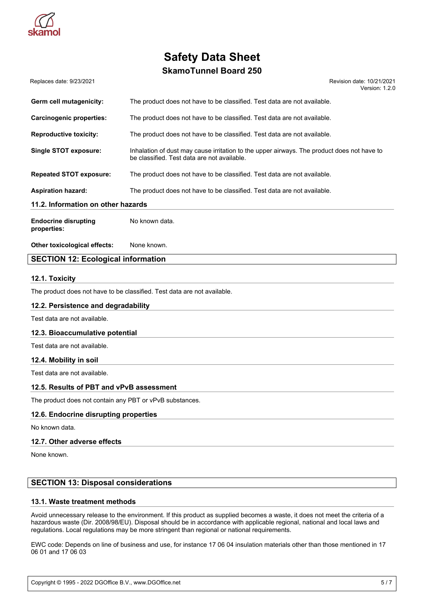

## **SkamoTunnel Board 250**

Replaces date: 9/23/2021 **Replaces** date: 10/21/2021 Version: 1.2.0

| Germ cell mutagenicity:                    | The product does not have to be classified. Test data are not available.                                                                  |  |  |
|--------------------------------------------|-------------------------------------------------------------------------------------------------------------------------------------------|--|--|
| <b>Carcinogenic properties:</b>            | The product does not have to be classified. Test data are not available.                                                                  |  |  |
| <b>Reproductive toxicity:</b>              | The product does not have to be classified. Test data are not available.                                                                  |  |  |
| <b>Single STOT exposure:</b>               | Inhalation of dust may cause irritation to the upper airways. The product does not have to<br>be classified. Test data are not available. |  |  |
| <b>Repeated STOT exposure:</b>             | The product does not have to be classified. Test data are not available.                                                                  |  |  |
| <b>Aspiration hazard:</b>                  | The product does not have to be classified. Test data are not available.                                                                  |  |  |
| 11.2. Information on other hazards         |                                                                                                                                           |  |  |
| <b>Endocrine disrupting</b><br>properties: | No known data.                                                                                                                            |  |  |
| Other toxicological effects:               | None known.                                                                                                                               |  |  |

### **SECTION 12: Ecological information**

#### **12.1. Toxicity**

The product does not have to be classified. Test data are not available.

#### **12.2. Persistence and degradability**

Test data are not available.

#### **12.3. Bioaccumulative potential**

Test data are not available.

#### **12.4. Mobility in soil**

Test data are not available.

#### **12.5. Results of PBT and vPvB assessment**

The product does not contain any PBT or vPvB substances.

#### **12.6. Endocrine disrupting properties**

No known data.

#### **12.7. Other adverse effects**

None known.

### **SECTION 13: Disposal considerations**

#### **13.1. Waste treatment methods**

Avoid unnecessary release to the environment. If this product as supplied becomes a waste, it does not meet the criteria of a hazardous waste (Dir. 2008/98/EU). Disposal should be in accordance with applicable regional, national and local laws and regulations. Local regulations may be more stringent than regional or national requirements.

EWC code: Depends on line of business and use, for instance 17 06 04 insulation materials other than those mentioned in 17 06 01 and 17 06 03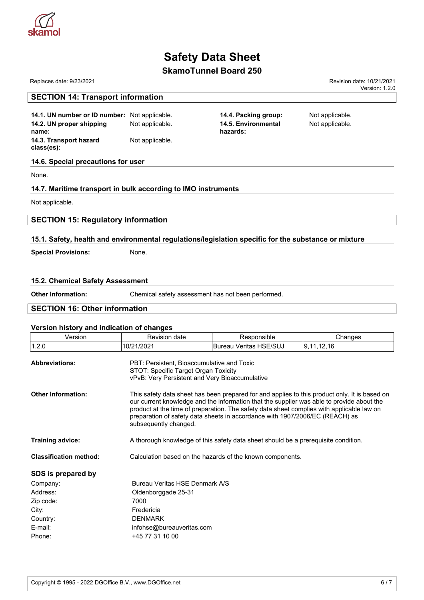

## **SkamoTunnel Board 250**

#### Replaces date: 9/23/2021 Revision date: 10/21/2021 Version: 1.2.0

| 14.1. UN number or ID number: Not applicable. |                 | 14.4. Packing group:            |
|-----------------------------------------------|-----------------|---------------------------------|
| 14.2. UN proper shipping<br>name:             | Not applicable. | 14.5. Environmental<br>hazards: |
| 14.3. Transport hazard<br>class(es):          | Not applicable. |                                 |

#### **14.6. Special precautions for user**

**SECTION 14: Transport information**

None.

#### **14.7. Maritime transport in bulk according to IMO instruments**

Not applicable.

#### **SECTION 15: Regulatory information**

#### **15.1. Safety, health and environmental regulations/legislation specific for the substance or mixture**

**Special Provisions:** None.

#### **15.2. Chemical Safety Assessment**

| <b>Other Information:</b>            | Chemical safety assessment has not been performed. |  |
|--------------------------------------|----------------------------------------------------|--|
| <b>SECTION 16: Other information</b> |                                                    |  |

#### **Version history and indication of changes**

| Version                       | <b>Revision date</b>                                      | Responsible                                                                                                                                                                                                                                                                                                                                                             | Changes       |  |  |
|-------------------------------|-----------------------------------------------------------|-------------------------------------------------------------------------------------------------------------------------------------------------------------------------------------------------------------------------------------------------------------------------------------------------------------------------------------------------------------------------|---------------|--|--|
| 1.2.0                         | 10/21/2021                                                | <b>Bureau Veritas HSE/SUJ</b>                                                                                                                                                                                                                                                                                                                                           | 9, 11, 12, 16 |  |  |
| <b>Abbreviations:</b>         |                                                           | PBT: Persistent. Bioaccumulative and Toxic<br>STOT: Specific Target Organ Toxicity<br>vPvB: Very Persistent and Very Bioaccumulative                                                                                                                                                                                                                                    |               |  |  |
| <b>Other Information:</b>     | subsequently changed.                                     | This safety data sheet has been prepared for and applies to this product only. It is based on<br>our current knowledge and the information that the supplier was able to provide about the<br>product at the time of preparation. The safety data sheet complies with applicable law on<br>preparation of safety data sheets in accordance with 1907/2006/EC (REACH) as |               |  |  |
| <b>Training advice:</b>       |                                                           | A thorough knowledge of this safety data sheet should be a prerequisite condition.                                                                                                                                                                                                                                                                                      |               |  |  |
| <b>Classification method:</b> | Calculation based on the hazards of the known components. |                                                                                                                                                                                                                                                                                                                                                                         |               |  |  |
| SDS is prepared by            |                                                           |                                                                                                                                                                                                                                                                                                                                                                         |               |  |  |
| Company:                      | Bureau Veritas HSF Denmark A/S                            |                                                                                                                                                                                                                                                                                                                                                                         |               |  |  |
| Address:                      | Oldenborggade 25-31                                       |                                                                                                                                                                                                                                                                                                                                                                         |               |  |  |
| Zip code:                     | 7000                                                      |                                                                                                                                                                                                                                                                                                                                                                         |               |  |  |
| City:                         | Fredericia                                                |                                                                                                                                                                                                                                                                                                                                                                         |               |  |  |
| Country:                      | <b>DENMARK</b>                                            |                                                                                                                                                                                                                                                                                                                                                                         |               |  |  |
| E-mail:                       |                                                           | infohse@bureauveritas.com                                                                                                                                                                                                                                                                                                                                               |               |  |  |
| Phone:                        | +45 77 31 10 00                                           |                                                                                                                                                                                                                                                                                                                                                                         |               |  |  |

**Not applicable.** Not applicable.